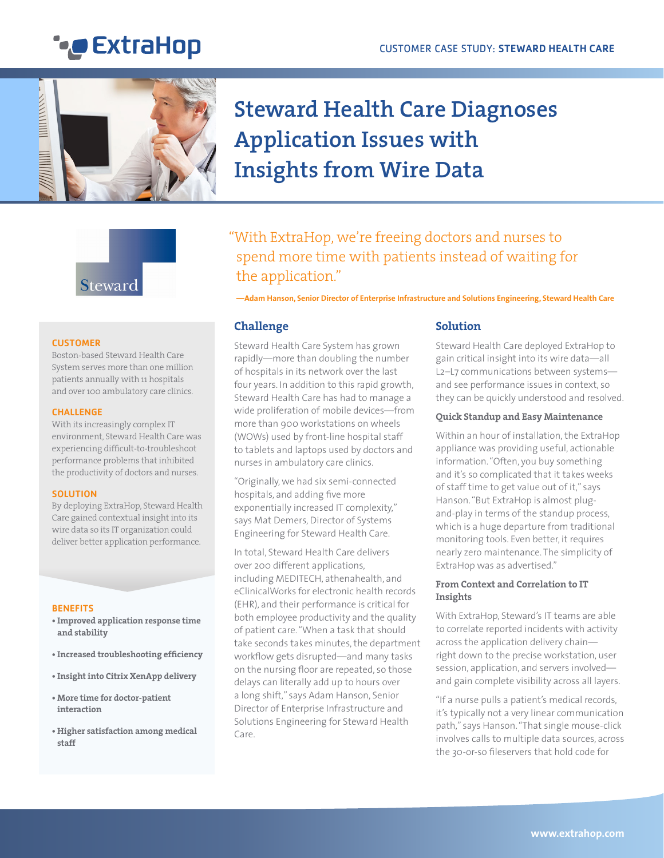## **\****\_* ExtraHop



## **Steward Health Care Diagnoses Application Issues with Insights from Wire Data**

# Steward

#### **CUSTOMER**

Boston-based Steward Health Care System serves more than one million patients annually with 11 hospitals and over 100 ambulatory care clinics.

#### CHALLENGE

With its increasingly complex IT environment, Steward Health Care was experiencing difficult-to-troubleshoot performance problems that inhibited the productivity of doctors and nurses.

#### **SOLUTION**

By deploying ExtraHop, Steward Health Care gained contextual insight into its wire data so its IT organization could deliver better application performance.

#### **BENEFITS**

- **• Improved application response time and stability**
- **• Increased troubleshooting efficiency**
- **• Insight into Citrix XenApp delivery**
- **• More time for doctor-patient interaction**
- **• Higher satisfaction among medical staff**

### "With ExtraHop, we're freeing doctors and nurses to spend more time with patients instead of waiting for the application."

**—Adam Hanson, Senior Director of Enterprise Infrastructure and Solutions Engineering, Steward Health Care**

#### **Challenge**

Steward Health Care System has grown rapidly—more than doubling the number of hospitals in its network over the last four years. In addition to this rapid growth, Steward Health Care has had to manage a wide proliferation of mobile devices—from more than 900 workstations on wheels (WOWs) used by front-line hospital staff to tablets and laptops used by doctors and nurses in ambulatory care clinics.

"Originally, we had six semi-connected hospitals, and adding five more exponentially increased IT complexity," says Mat Demers, Director of Systems Engineering for Steward Health Care.

In total, Steward Health Care delivers over 200 different applications, including MEDITECH, athenahealth, and eClinicalWorks for electronic health records (EHR), and their performance is critical for both employee productivity and the quality of patient care. "When a task that should take seconds takes minutes, the department workflow gets disrupted—and many tasks on the nursing floor are repeated, so those delays can literally add up to hours over a long shift," says Adam Hanson, Senior Director of Enterprise Infrastructure and Solutions Engineering for Steward Health Care.

#### **Solution**

Steward Health Care deployed ExtraHop to gain critical insight into its wire data—all L2–L7 communications between systems and see performance issues in context, so they can be quickly understood and resolved.

#### **Quick Standup and Easy Maintenance**

Within an hour of installation, the ExtraHop appliance was providing useful, actionable information. "Often, you buy something and it's so complicated that it takes weeks of staff time to get value out of it," says Hanson. "But ExtraHop is almost plugand-play in terms of the standup process, which is a huge departure from traditional monitoring tools. Even better, it requires nearly zero maintenance. The simplicity of ExtraHop was as advertised."

#### **From Context and Correlation to IT Insights**

With ExtraHop, Steward's IT teams are able to correlate reported incidents with activity across the application delivery chain right down to the precise workstation, user session, application, and servers involved and gain complete visibility across all layers.

"If a nurse pulls a patient's medical records, it's typically not a very linear communication path," says Hanson. "That single mouse-click involves calls to multiple data sources, across the 30-or-so fileservers that hold code for